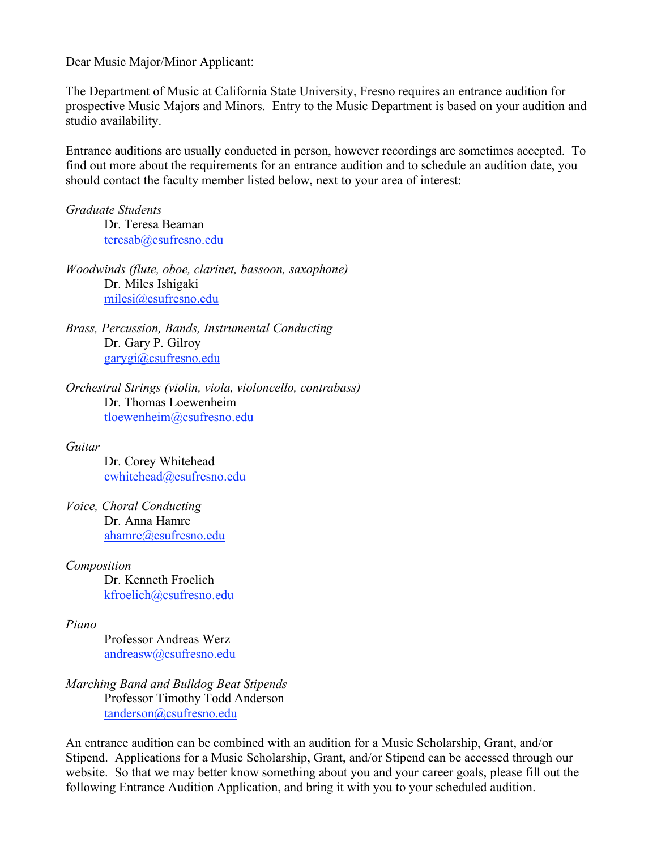Dear Music Major/Minor Applicant:

The Department of Music at California State University, Fresno requires an entrance audition for prospective Music Majors and Minors. Entry to the Music Department is based on your audition and studio availability.

Entrance auditions are usually conducted in person, however recordings are sometimes accepted. To find out more about the requirements for an entrance audition and to schedule an audition date, you should contact the faculty member listed below, next to your area of interest:

*Graduate Students* Dr. Teresa Beaman teresab@csufresno.edu

*Woodwinds (flute, oboe, clarinet, bassoon, saxophone)* Dr. Miles Ishigaki milesi@csufresno.edu

*Brass, Percussion, Bands, Instrumental Conducting* Dr. Gary P. Gilroy garygi@csufresno.edu

*Orchestral Strings (violin, viola, violoncello, contrabass)* Dr. Thomas Loewenheim tloewenheim@csufresno.edu

## *Guitar*

Dr. Corey Whitehead cwhitehead@csufresno.edu

*Voice, Choral Conducting* Dr. Anna Hamre ahamre@csufresno.edu

*Composition*

Dr. Kenneth Froelich kfroelich@csufresno.edu

## *Piano*

Professor Andreas Werz andreasw@csufresno.edu

*Marching Band and Bulldog Beat Stipends* Professor Timothy Todd Anderson tanderson@csufresno.edu

An entrance audition can be combined with an audition for a Music Scholarship, Grant, and/or Stipend. Applications for a Music Scholarship, Grant, and/or Stipend can be accessed through our website. So that we may better know something about you and your career goals, please fill out the following Entrance Audition Application, and bring it with you to your scheduled audition.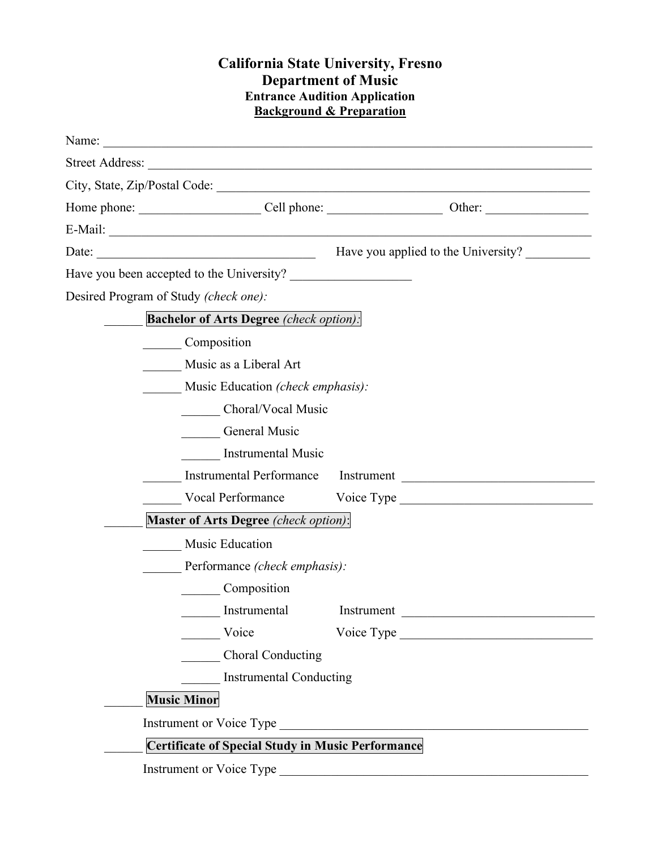## **California State University, Fresno Department of Music Entrance Audition Application Background & Preparation**

| Date: $\frac{1}{\sqrt{1-\frac{1}{2}}}\left\{ \frac{1}{2}, \frac{1}{2}, \frac{1}{2}, \frac{1}{2}, \frac{1}{2}\right\}$ | Have you applied to the University? |  |
|-----------------------------------------------------------------------------------------------------------------------|-------------------------------------|--|
| Have you been accepted to the University?                                                                             |                                     |  |
| Desired Program of Study (check one):                                                                                 |                                     |  |
| <b>Bachelor of Arts Degree</b> (check option):                                                                        |                                     |  |
| Composition                                                                                                           |                                     |  |
| Music as a Liberal Art                                                                                                |                                     |  |
| Music Education <i>(check emphasis)</i> :                                                                             |                                     |  |
| Choral/Vocal Music                                                                                                    |                                     |  |
| <b>General Music</b>                                                                                                  |                                     |  |
| <b>Instrumental Music</b>                                                                                             |                                     |  |
|                                                                                                                       | Instrumental Performance Instrument |  |
|                                                                                                                       |                                     |  |
| Master of Arts Degree (check option):                                                                                 |                                     |  |
| <b>Music Education</b>                                                                                                |                                     |  |
| Performance <i>(check emphasis)</i> :                                                                                 |                                     |  |
| Composition                                                                                                           |                                     |  |
| Instrumental                                                                                                          | Instrument                          |  |
| Voice                                                                                                                 |                                     |  |
| Choral Conducting                                                                                                     |                                     |  |
| Instrumental Conducting                                                                                               |                                     |  |
| <b>Music Minor</b>                                                                                                    |                                     |  |
|                                                                                                                       |                                     |  |
| <b>Certificate of Special Study in Music Performance</b>                                                              |                                     |  |
| Instrument or Voice Type                                                                                              |                                     |  |